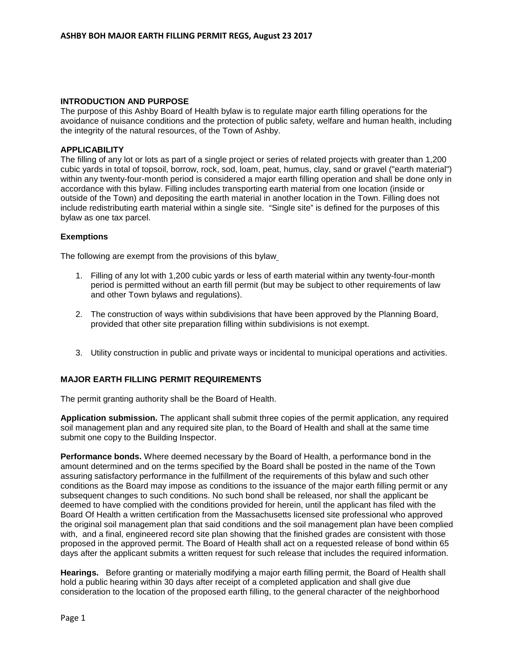## **INTRODUCTION AND PURPOSE**

The purpose of this Ashby Board of Health bylaw is to regulate major earth filling operations for the avoidance of nuisance conditions and the protection of public safety, welfare and human health, including the integrity of the natural resources, of the Town of Ashby.

### **APPLICABILITY**

The filling of any lot or lots as part of a single project or series of related projects with greater than 1,200 cubic yards in total of topsoil, borrow, rock, sod, loam, peat, humus, clay, sand or gravel ("earth material") within any twenty-four-month period is considered a major earth filling operation and shall be done only in accordance with this bylaw. Filling includes transporting earth material from one location (inside or outside of the Town) and depositing the earth material in another location in the Town. Filling does not include redistributing earth material within a single site. "Single site" is defined for the purposes of this bylaw as one tax parcel.

### **Exemptions**

The following are exempt from the provisions of this bylaw

- 1. Filling of any lot with 1,200 cubic yards or less of earth material within any twenty-four-month period is permitted without an earth fill permit (but may be subject to other requirements of law and other Town bylaws and regulations).
- 2. The construction of ways within subdivisions that have been approved by the Planning Board, provided that other site preparation filling within subdivisions is not exempt.
- 3. Utility construction in public and private ways or incidental to municipal operations and activities.

## **MAJOR EARTH FILLING PERMIT REQUIREMENTS**

The permit granting authority shall be the Board of Health.

**Application submission.** The applicant shall submit three copies of the permit application, any required soil management plan and any required site plan, to the Board of Health and shall at the same time submit one copy to the Building Inspector.

**Performance bonds.** Where deemed necessary by the Board of Health, a performance bond in the amount determined and on the terms specified by the Board shall be posted in the name of the Town assuring satisfactory performance in the fulfillment of the requirements of this bylaw and such other conditions as the Board may impose as conditions to the issuance of the major earth filling permit or any subsequent changes to such conditions. No such bond shall be released, nor shall the applicant be deemed to have complied with the conditions provided for herein, until the applicant has filed with the Board Of Health a written certification from the Massachusetts licensed site professional who approved the original soil management plan that said conditions and the soil management plan have been complied with, and a final, engineered record site plan showing that the finished grades are consistent with those proposed in the approved permit. The Board of Health shall act on a requested release of bond within 65 days after the applicant submits a written request for such release that includes the required information.

**Hearings.** Before granting or materially modifying a major earth filling permit, the Board of Health shall hold a public hearing within 30 days after receipt of a completed application and shall give due consideration to the location of the proposed earth filling, to the general character of the neighborhood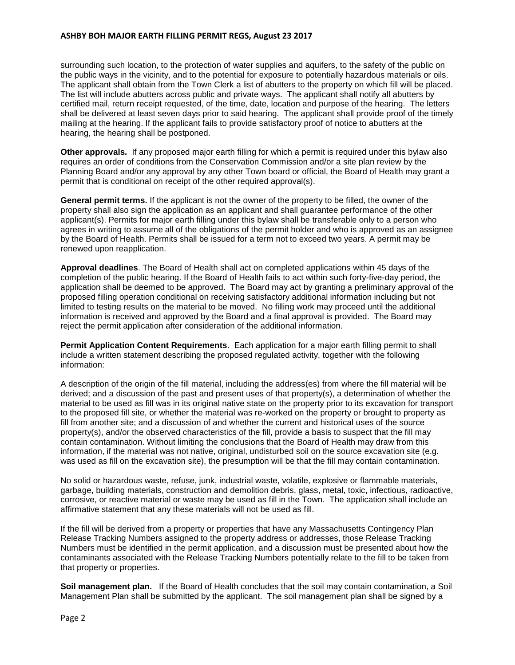surrounding such location, to the protection of water supplies and aquifers, to the safety of the public on the public ways in the vicinity, and to the potential for exposure to potentially hazardous materials or oils. The applicant shall obtain from the Town Clerk a list of abutters to the property on which fill will be placed. The list will include abutters across public and private ways. The applicant shall notify all abutters by certified mail, return receipt requested, of the time, date, location and purpose of the hearing. The letters shall be delivered at least seven days prior to said hearing. The applicant shall provide proof of the timely mailing at the hearing. If the applicant fails to provide satisfactory proof of notice to abutters at the hearing, the hearing shall be postponed.

**Other approvals.** If any proposed major earth filling for which a permit is required under this bylaw also requires an order of conditions from the Conservation Commission and/or a site plan review by the Planning Board and/or any approval by any other Town board or official, the Board of Health may grant a permit that is conditional on receipt of the other required approval(s).

**General permit terms.** If the applicant is not the owner of the property to be filled, the owner of the property shall also sign the application as an applicant and shall guarantee performance of the other applicant(s). Permits for major earth filling under this bylaw shall be transferable only to a person who agrees in writing to assume all of the obligations of the permit holder and who is approved as an assignee by the Board of Health. Permits shall be issued for a term not to exceed two years. A permit may be renewed upon reapplication.

**Approval deadlines**. The Board of Health shall act on completed applications within 45 days of the completion of the public hearing. If the Board of Health fails to act within such forty-five-day period, the application shall be deemed to be approved. The Board may act by granting a preliminary approval of the proposed filling operation conditional on receiving satisfactory additional information including but not limited to testing results on the material to be moved. No filling work may proceed until the additional information is received and approved by the Board and a final approval is provided. The Board may reject the permit application after consideration of the additional information.

**Permit Application Content Requirements**. Each application for a major earth filling permit to shall include a written statement describing the proposed regulated activity, together with the following information:

A description of the origin of the fill material, including the address(es) from where the fill material will be derived; and a discussion of the past and present uses of that property(s), a determination of whether the material to be used as fill was in its original native state on the property prior to its excavation for transport to the proposed fill site, or whether the material was re-worked on the property or brought to property as fill from another site; and a discussion of and whether the current and historical uses of the source property(s), and/or the observed characteristics of the fill, provide a basis to suspect that the fill may contain contamination. Without limiting the conclusions that the Board of Health may draw from this information, if the material was not native, original, undisturbed soil on the source excavation site (e.g. was used as fill on the excavation site), the presumption will be that the fill may contain contamination.

No solid or hazardous waste, refuse, junk, industrial waste, volatile, explosive or flammable materials, garbage, building materials, construction and demolition debris, glass, metal, toxic, infectious, radioactive, corrosive, or reactive material or waste may be used as fill in the Town. The application shall include an affirmative statement that any these materials will not be used as fill.

If the fill will be derived from a property or properties that have any Massachusetts Contingency Plan Release Tracking Numbers assigned to the property address or addresses, those Release Tracking Numbers must be identified in the permit application, and a discussion must be presented about how the contaminants associated with the Release Tracking Numbers potentially relate to the fill to be taken from that property or properties.

Soil management plan. If the Board of Health concludes that the soil may contain contamination, a Soil Management Plan shall be submitted by the applicant. The soil management plan shall be signed by a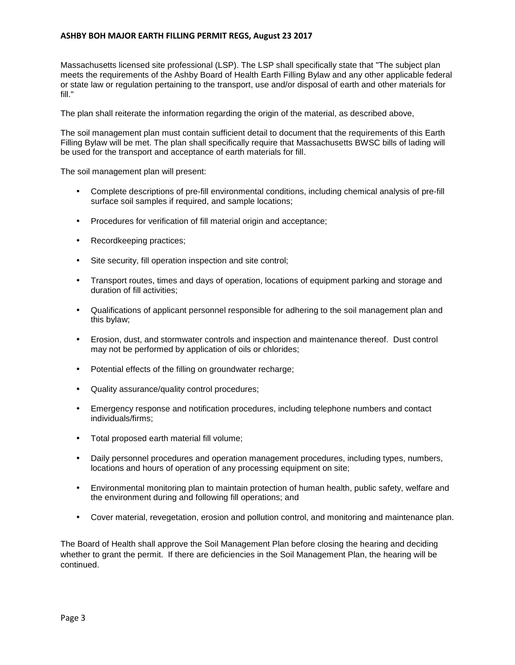Massachusetts licensed site professional (LSP). The LSP shall specifically state that "The subject plan meets the requirements of the Ashby Board of Health Earth Filling Bylaw and any other applicable federal or state law or regulation pertaining to the transport, use and/or disposal of earth and other materials for fill."

The plan shall reiterate the information regarding the origin of the material, as described above,

The soil management plan must contain sufficient detail to document that the requirements of this Earth Filling Bylaw will be met. The plan shall specifically require that Massachusetts BWSC bills of lading will be used for the transport and acceptance of earth materials for fill.

The soil management plan will present:

- Complete descriptions of pre-fill environmental conditions, including chemical analysis of pre-fill surface soil samples if required, and sample locations;
- Procedures for verification of fill material origin and acceptance;
- Recordkeeping practices;
- Site security, fill operation inspection and site control;
- Transport routes, times and days of operation, locations of equipment parking and storage and duration of fill activities;
- Qualifications of applicant personnel responsible for adhering to the soil management plan and this bylaw;
- Erosion, dust, and stormwater controls and inspection and maintenance thereof. Dust control may not be performed by application of oils or chlorides;
- Potential effects of the filling on groundwater recharge;
- Quality assurance/quality control procedures;
- Emergency response and notification procedures, including telephone numbers and contact individuals/firms;
- Total proposed earth material fill volume;
- Daily personnel procedures and operation management procedures, including types, numbers, locations and hours of operation of any processing equipment on site;
- Environmental monitoring plan to maintain protection of human health, public safety, welfare and the environment during and following fill operations; and
- Cover material, revegetation, erosion and pollution control, and monitoring and maintenance plan.

The Board of Health shall approve the Soil Management Plan before closing the hearing and deciding whether to grant the permit. If there are deficiencies in the Soil Management Plan, the hearing will be continued.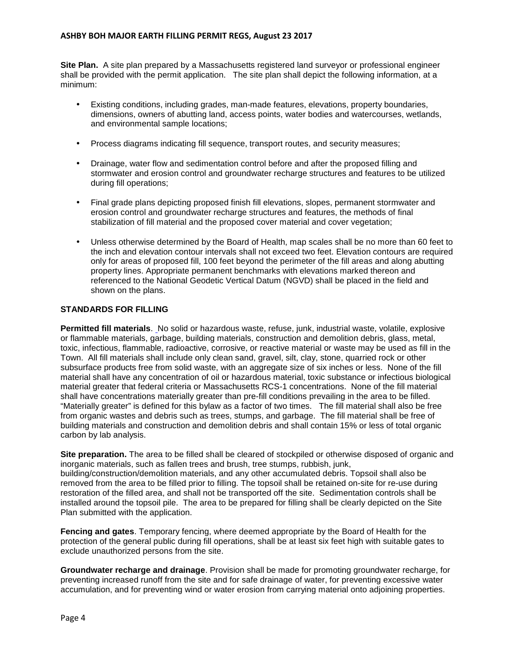**Site Plan.** A site plan prepared by a Massachusetts registered land surveyor or professional engineer shall be provided with the permit application. The site plan shall depict the following information, at a minimum:

- Existing conditions, including grades, man-made features, elevations, property boundaries, dimensions, owners of abutting land, access points, water bodies and watercourses, wetlands, and environmental sample locations;
- Process diagrams indicating fill sequence, transport routes, and security measures;
- Drainage, water flow and sedimentation control before and after the proposed filling and stormwater and erosion control and groundwater recharge structures and features to be utilized during fill operations;
- Final grade plans depicting proposed finish fill elevations, slopes, permanent stormwater and erosion control and groundwater recharge structures and features, the methods of final stabilization of fill material and the proposed cover material and cover vegetation;
- Unless otherwise determined by the Board of Health, map scales shall be no more than 60 feet to the inch and elevation contour intervals shall not exceed two feet. Elevation contours are required only for areas of proposed fill, 100 feet beyond the perimeter of the fill areas and along abutting property lines. Appropriate permanent benchmarks with elevations marked thereon and referenced to the National Geodetic Vertical Datum (NGVD) shall be placed in the field and shown on the plans.

# **STANDARDS FOR FILLING**

**Permitted fill materials**. No solid or hazardous waste, refuse, junk, industrial waste, volatile, explosive or flammable materials, garbage, building materials, construction and demolition debris, glass, metal, toxic, infectious, flammable, radioactive, corrosive, or reactive material or waste may be used as fill in the Town. All fill materials shall include only clean sand, gravel, silt, clay, stone, quarried rock or other subsurface products free from solid waste, with an aggregate size of six inches or less. None of the fill material shall have any concentration of oil or hazardous material, toxic substance or infectious biological material greater that federal criteria or Massachusetts RCS-1 concentrations. None of the fill material shall have concentrations materially greater than pre-fill conditions prevailing in the area to be filled. "Materially greater" is defined for this bylaw as a factor of two times. The fill material shall also be free from organic wastes and debris such as trees, stumps, and garbage. The fill material shall be free of building materials and construction and demolition debris and shall contain 15% or less of total organic carbon by lab analysis.

**Site preparation.** The area to be filled shall be cleared of stockpiled or otherwise disposed of organic and inorganic materials, such as fallen trees and brush, tree stumps, rubbish, junk,

building/construction/demolition materials, and any other accumulated debris. Topsoil shall also be removed from the area to be filled prior to filling. The topsoil shall be retained on-site for re-use during restoration of the filled area, and shall not be transported off the site. Sedimentation controls shall be installed around the topsoil pile. The area to be prepared for filling shall be clearly depicted on the Site Plan submitted with the application.

**Fencing and gates**. Temporary fencing, where deemed appropriate by the Board of Health for the protection of the general public during fill operations, shall be at least six feet high with suitable gates to exclude unauthorized persons from the site.

**Groundwater recharge and drainage**. Provision shall be made for promoting groundwater recharge, for preventing increased runoff from the site and for safe drainage of water, for preventing excessive water accumulation, and for preventing wind or water erosion from carrying material onto adjoining properties.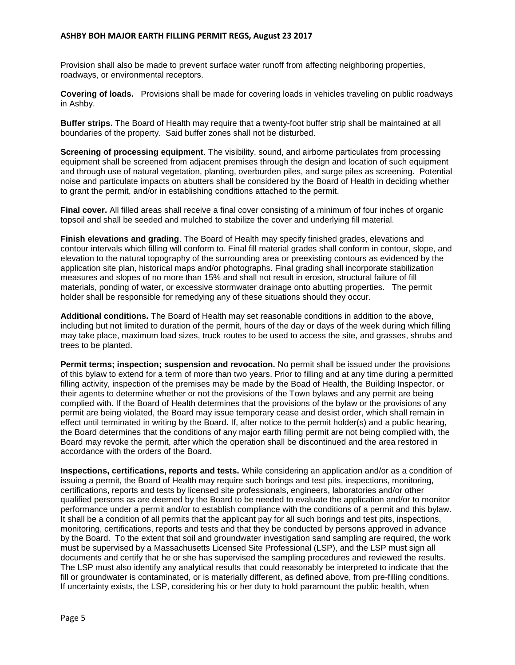Provision shall also be made to prevent surface water runoff from affecting neighboring properties, roadways, or environmental receptors.

**Covering of loads.** Provisions shall be made for covering loads in vehicles traveling on public roadways in Ashby.

**Buffer strips.** The Board of Health may require that a twenty-foot buffer strip shall be maintained at all boundaries of the property. Said buffer zones shall not be disturbed.

**Screening of processing equipment**. The visibility, sound, and airborne particulates from processing equipment shall be screened from adjacent premises through the design and location of such equipment and through use of natural vegetation, planting, overburden piles, and surge piles as screening. Potential noise and particulate impacts on abutters shall be considered by the Board of Health in deciding whether to grant the permit, and/or in establishing conditions attached to the permit.

**Final cover.** All filled areas shall receive a final cover consisting of a minimum of four inches of organic topsoil and shall be seeded and mulched to stabilize the cover and underlying fill material.

**Finish elevations and grading**. The Board of Health may specify finished grades, elevations and contour intervals which filling will conform to. Final fill material grades shall conform in contour, slope, and elevation to the natural topography of the surrounding area or preexisting contours as evidenced by the application site plan, historical maps and/or photographs. Final grading shall incorporate stabilization measures and slopes of no more than 15% and shall not result in erosion, structural failure of fill materials, ponding of water, or excessive stormwater drainage onto abutting properties. The permit holder shall be responsible for remedying any of these situations should they occur.

**Additional conditions.** The Board of Health may set reasonable conditions in addition to the above, including but not limited to duration of the permit, hours of the day or days of the week during which filling may take place, maximum load sizes, truck routes to be used to access the site, and grasses, shrubs and trees to be planted.

**Permit terms; inspection; suspension and revocation.** No permit shall be issued under the provisions of this bylaw to extend for a term of more than two years. Prior to filling and at any time during a permitted filling activity, inspection of the premises may be made by the Boad of Health, the Building Inspector, or their agents to determine whether or not the provisions of the Town bylaws and any permit are being complied with. If the Board of Health determines that the provisions of the bylaw or the provisions of any permit are being violated, the Board may issue temporary cease and desist order, which shall remain in effect until terminated in writing by the Board. If, after notice to the permit holder(s) and a public hearing, the Board determines that the conditions of any major earth filling permit are not being complied with, the Board may revoke the permit, after which the operation shall be discontinued and the area restored in accordance with the orders of the Board.

**Inspections, certifications, reports and tests.** While considering an application and/or as a condition of issuing a permit, the Board of Health may require such borings and test pits, inspections, monitoring, certifications, reports and tests by licensed site professionals, engineers, laboratories and/or other qualified persons as are deemed by the Board to be needed to evaluate the application and/or to monitor performance under a permit and/or to establish compliance with the conditions of a permit and this bylaw. It shall be a condition of all permits that the applicant pay for all such borings and test pits, inspections, monitoring, certifications, reports and tests and that they be conducted by persons approved in advance by the Board. To the extent that soil and groundwater investigation sand sampling are required, the work must be supervised by a Massachusetts Licensed Site Professional (LSP), and the LSP must sign all documents and certify that he or she has supervised the sampling procedures and reviewed the results. The LSP must also identify any analytical results that could reasonably be interpreted to indicate that the fill or groundwater is contaminated, or is materially different, as defined above, from pre-filling conditions. If uncertainty exists, the LSP, considering his or her duty to hold paramount the public health, when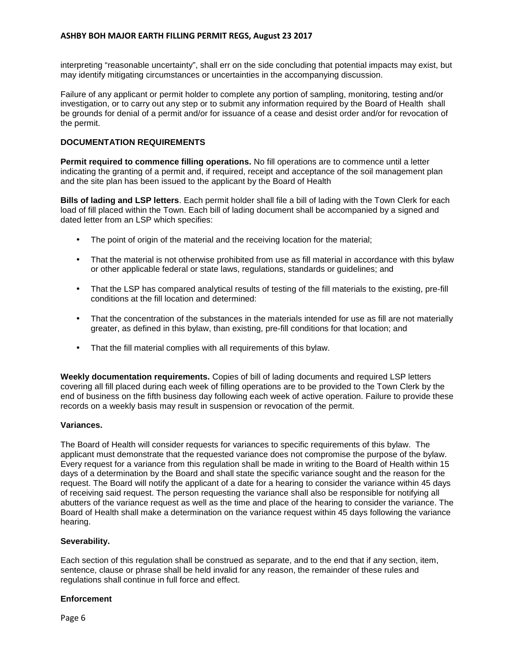interpreting "reasonable uncertainty", shall err on the side concluding that potential impacts may exist, but may identify mitigating circumstances or uncertainties in the accompanying discussion.

Failure of any applicant or permit holder to complete any portion of sampling, monitoring, testing and/or investigation, or to carry out any step or to submit any information required by the Board of Health shall be grounds for denial of a permit and/or for issuance of a cease and desist order and/or for revocation of the permit.

# **DOCUMENTATION REQUIREMENTS**

**Permit required to commence filling operations.** No fill operations are to commence until a letter indicating the granting of a permit and, if required, receipt and acceptance of the soil management plan and the site plan has been issued to the applicant by the Board of Health

**Bills of lading and LSP letters**. Each permit holder shall file a bill of lading with the Town Clerk for each load of fill placed within the Town. Each bill of lading document shall be accompanied by a signed and dated letter from an LSP which specifies:

- The point of origin of the material and the receiving location for the material;
- That the material is not otherwise prohibited from use as fill material in accordance with this bylaw or other applicable federal or state laws, regulations, standards or guidelines; and
- That the LSP has compared analytical results of testing of the fill materials to the existing, pre-fill conditions at the fill location and determined:
- That the concentration of the substances in the materials intended for use as fill are not materially greater, as defined in this bylaw, than existing, pre-fill conditions for that location; and
- That the fill material complies with all requirements of this bylaw.

**Weekly documentation requirements.** Copies of bill of lading documents and required LSP letters covering all fill placed during each week of filling operations are to be provided to the Town Clerk by the end of business on the fifth business day following each week of active operation. Failure to provide these records on a weekly basis may result in suspension or revocation of the permit.

## **Variances.**

The Board of Health will consider requests for variances to specific requirements of this bylaw. The applicant must demonstrate that the requested variance does not compromise the purpose of the bylaw. Every request for a variance from this regulation shall be made in writing to the Board of Health within 15 days of a determination by the Board and shall state the specific variance sought and the reason for the request. The Board will notify the applicant of a date for a hearing to consider the variance within 45 days of receiving said request. The person requesting the variance shall also be responsible for notifying all abutters of the variance request as well as the time and place of the hearing to consider the variance. The Board of Health shall make a determination on the variance request within 45 days following the variance hearing.

## **Severability.**

Each section of this regulation shall be construed as separate, and to the end that if any section, item, sentence, clause or phrase shall be held invalid for any reason, the remainder of these rules and regulations shall continue in full force and effect.

## **Enforcement**

Page 6